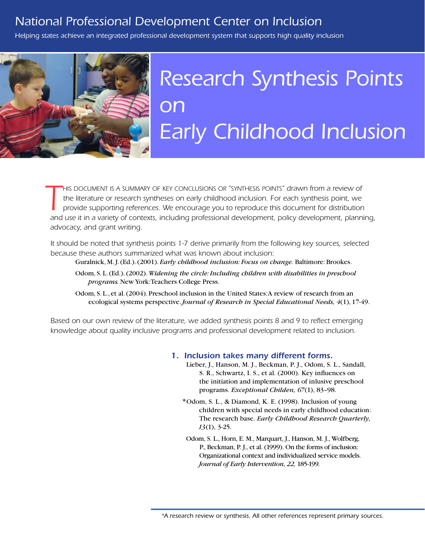# *National Professional Development Center on Inclusion*

*Helping states achieve an integrated professional development system that supports high quality inclusion*



# *Research Synthesis Points on Early Childhood Inclusion*

**THIS DOCUMENT IS A SUMMARY OF KEY CONCLUSIONS OR "SYNTHESIS POINTS" drawn from a review of the literature or research syntheses on early childhood inclusion. For each synthesis point, we provide supporting references. We** *his document is a summary of key conclusions or "synthesis points" drawn from a review of the literature or research syntheses on early childhood inclusion. For each synthesis point, we provide supporting references. We encourage you to reproduce this document for distribution advocacy, and grant writing.*

*It should be noted that synthesis points 1-7 derive primarily from the following key sources, selected because these authors summarized what was known about inclusion:* 

Guralnick, M. J. (Ed.). (2001). *Early childhood inclusion: Focus on change.* Baltimore: Brookes.

Odom, S. L. (Ed.). (2002). *Widening the circle: Including children with disabilities in preschool programs.* New York: Teachers College Press.

Odom, S. L., et al. (2004). Preschool inclusion in the United States: A review of research from an ecological systems perspective. *Journal of Research in Special Educational Needs, 4*(1), 17-49.

*Based on our own review of the literature, we added synthesis points 8 and 9 to reflect emerging knowledge about quality inclusive programs and professional development related to inclusion.*

## *1. Inclusion takes many different forms.*

- Lieber, J., Hanson, M. J., Beckman, P. J., Odom, S. L., Sandall, S. R., Schwartz, I. S., et al. (2000). Key influences on the initiation and implementation of inlusive preschool programs. *Exceptional Childen, 67*(1), 83–98.
- \*Odom, S. L., & Diamond, K. E. (1998). Inclusion of young children with special needs in early childhood education: The research base. *Early Childhood Research Quarterly, 13*(1), 3-25.
- Odom, S. L., Horn, E. M., Marquart, J., Hanson, M. J., Wolfberg, P., Beckman, P. J., et al. (1999). On the forms of inclusion: Organizational context and individualized service models. *Journal of Early Intervention, 22,* 185-199.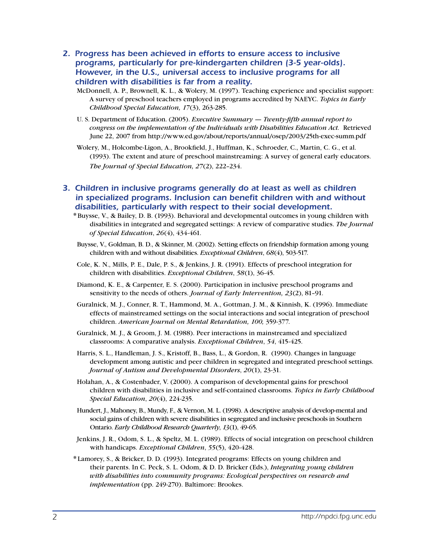- *2. Progress has been achieved in efforts to ensure access to inclusive programs, particularly for pre-kindergarten children (3-5 year-olds). However, in the U.S., universal access to inclusive programs for all children with disabilities is far from a reality.*
	- McDonnell, A. P., Brownell, K. L., & Wolery, M. (1997). Teaching experience and specialist support: A survey of preschool teachers employed in programs accredited by NAEYC. *Topics in Early Childhood Special Education, 17*(3), 263-285.
	- U. S. Department of Education. (2005). *Executive Summary Twenty-fifth annual report to congress on the implementation of the Individuals with Disabilities Education Act.* Retrieved June 22, 2007 from http://www.ed.gov/about/reports/annual/osep/2003/25th-exec-summ.pdf
	- Wolery, M., Holcombe-Ligon, A., Brookfield, J., Huffman, K., Schroeder, C., Martin, C. G., et al. (1993). The extent and ature of preschool mainstreaming: A survey of general early educators. *The Journal of Special Education, 27*(2), 222–234.
- **3. Children in inclusive programs generally do at least as well as children** *in specialized programs. Inclusion can benefit children with and without disabilities, particularly with respect to their social development.*
	- \* Buysse, V., & Bailey, D. B. (1993). Behavioral and developmental outcomes in young children with disabilities in integrated and segregated settings: A review of comparative studies. *The Journal of Special Education*, *26*(4), 434-461.
	- Buysse, V., Goldman, B. D., & Skinner, M. (2002). Setting effects on friendship formation among young children with and without disabilities. *Exceptional Children*, *68*(4), 503-517.
	- Cole, K. N., Mills, P. E., Dale, P. S., & Jenkins, J. R. (1991). Effects of preschool integration for children with disabilities. *Exceptional Children*, *58*(1), 36-45.
	- Diamond, K. E., & Carpenter, E. S. (2000). Participation in inclusive preschool programs and sensitivity to the needs of others. *Journal of Early Intervention, 23*(2), 81–91.
	- Guralnick, M. J., Conner, R. T., Hammond, M. A., Gottman, J. M., & Kinnish, K. (1996). Immediate effects of mainstreamed settings on the social interactions and social integration of preschool children. *American Journal on Mental Retardation, 100,* 359-377.
	- Guralnick, M. J., & Groom, J. M. (1988). Peer interactions in mainstreamed and specialized classrooms: A comparative analysis. *Exceptional Children*, *54*, 415-425.
	- Harris, S. L., Handleman, J. S., Kristoff, B., Bass, L., & Gordon, R. (1990). Changes in language development among autistic and peer children in segregated and integrated preschool settings. *Journal of Autism and Developmental Disorders*, *20*(1), 23-31.
	- Holahan, A., & Costenbader, V. (2000). A comparison of developmental gains for preschool children with disabilities in inclusive and self-contained classrooms. *Topics in Early Childhood Special Education*, *20*(4), 224-235.
	- Hundert, J., Mahoney, B., Mundy, F., & Vernon, M. L. (1998). A descriptive analysis of develop-mental and social gains of children with severe disabilities in segregated and inclusive preschools in Southern Ontario. *Early Childhood Research Quarterly*, *13*(1), 49-65.
	- Jenkins, J. R., Odom, S. L., & Speltz, M. L. (1989). Effects of social integration on preschool children with handicaps. *Exceptional Children*, *55*(5), 420-428.
	- \* Lamorey, S., & Bricker, D. D. (1993). Integrated programs: Effects on young children and their parents. In C. Peck, S. L. Odom, & D. D. Bricker (Eds.), *Integrating young children with disabilities into community programs: Ecological perspectives on research and implementation* (pp. 249-270). Baltimore: Brookes.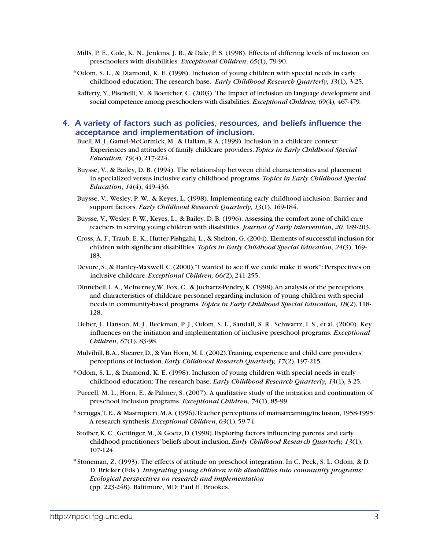- Mills, P. E., Cole, K. N., Jenkins, J. R., & Dale, P. S. (1998). Effects of differing levels of inclusion on preschoolers with disabilities. *Exceptional Children*, *65*(1), 79-90.
- \*Odom, S. L., & Diamond, K. E. (1998). Inclusion of young children with special needs in early childhood education: The research base. *Early Childhood Research Quarterly*, *13*(1), 3-25.
- Rafferty, Y., Piscitelli, V., & Boettcher, C. (2003). The impact of inclusion on language development and social competence among preschoolers with disabilities. *Exceptional Children*, *69*(4), 467-479.

# *4. A variety of factors such as policies, resources, and beliefs influence the acceptance and implementation of inclusion.*

- Buell, M. J., Gamel-McCormick, M., & Hallam, R. A. (1999). Inclusion in a childcare context: Experiences and attitudes of family childcare providers. *Topics in Early Childhood Special Education, 19*(4), 217-224.
- Buysse, V., & Bailey, D. B. (1994). The relationship between child characteristics and placement in specialized versus inclusive early childhood programs. *Topics in Early Childhood Special Education*, *14*(4), 419-436.
- Buysse, V., Wesley, P. W., & Keyes, L. (1998). Implementing early childhood inclusion: Barrier and support factors. *Early Childhood Research Quarterly*, *13*(1), 169-184.
- Buysse, V., Wesley, P. W., Keyes, L., & Bailey, D. B. (1996). Assessing the comfort zone of child care teachers in serving young children with disabilities. *Journal of Early Intervention*, *20,* 189-203.
- Cross, A. F., Traub, E. K., Hutter-Pishgahi, L., & Shelton, G. (2004). Elements of successful inclusion for children with significant disabilities. *Topics in Early Childhood Special Education*, *24*(3), 169- 183.
- Devore, S., & Hanley-Maxwell, C. (2000). "I wanted to see if we could make it work": Perspectives on inclusive childcare. *Exceptional Children, 66(*2), 241-255.
- Dinnebeil, L.A., McInerney, W., Fox, C., & Juchartz-Pendry, K. (1998). An analysis of the perceptions and characteristics of childcare personnel regarding inclusion of young children with special needs in community-based programs. *Topics in Early Childhood Special Education, 18*(2), 118- 128.
- Lieber, J., Hanson, M. J., Beckman, P. J., Odom, S. L., Sandall, S. R., Schwartz, I. S., et al. (2000). Key influences on the initiation and implementation of inclusive preschool programs. *Exceptional Children, 67*(1), 83-98.
- Mulvihill, B. A., Shearer, D., & Van Horn, M. L. (2002). Training, experience and child care providers' perceptions of inclusion. *Early Childhood Research Quarterly, 17*(2), 197-215.
- \*Odom, S. L., & Diamond, K. E. (1998). Inclusion of young children with special needs in early childhood education: The research base. *Early Childhood Research Quarterly*, *13*(1), 3-25.
- Purcell, M. L., Horn, E., & Palmer, S. (2007). A qualitative study of the initiation and continuation of preschool inclusion programs. *Exceptional Children, 74*(1), 85-99.
- \*Scruggs, T. E., & Mastropieri, M. A. (1996). Teacher perceptions of mainstreaming/inclusion, 1958-1995: A research synthesis. *Exceptional Children*, *63*(1), 59-74.
- Stoiber, K. C., Gettinger, M., & Goetz, D. (1998). Exploring factors influencing parents' and early childhood practitioners' beliefs about inclusion. *Early Childhood Research Quarterly, 13*(1), 107-124.
- \*Stoneman, Z. (1993). The effects of attitude on preschool integration. In C. Peck, S. L. Odom, & D. D. Bricker (Eds.), *Integrating young children with disabilities into community programs: Ecological perspectives on research and implementation* (pp. 223-248). Baltimore, MD: Paul H. Brookes.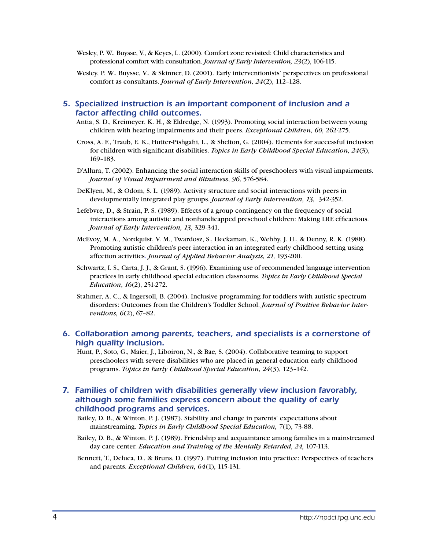- Wesley, P. W., Buysse, V., & Keyes, L. (2000). Comfort zone revisited: Child characteristics and professional comfort with consultation. *Journal of Early Intervention, 23*(2), 106-115.
- Wesley, P. W., Buysse, V., & Skinner, D. (2001). Early interventionists' perspectives on professional comfort as consultants. *Journal of Early Intervention, 24*(2), 112–128.

## *5. Specialized instruction is an important component of inclusion and a factor affecting child outcomes.*

- Antia, S. D., Kreimeyer, K. H., & Eldredge, N. (1993). Promoting social interaction between young children with hearing impairments and their peers. *Exceptional Children, 60,* 262-275.
- Cross, A. F., Traub, E. K., Hutter-Pishgahi, L., & Shelton, G. (2004). Elements for successful inclusion for children with significant disabilities. *Topics in Early Childhood Special Education, 24*(3), 169–183.
- D'Allura, T. (2002). Enhancing the social interaction skills of preschoolers with visual impairments. *Journal of Visual Impairment and Blindness*, *96,* 576-584.
- DeKlyen, M., & Odom, S. L. (1989). Activity structure and social interactions with peers in developmentally integrated play groups. *Journal of Early Intervention, 13,* 342-352.
- Lefebvre, D., & Strain, P. S. (1989). Effects of a group contingency on the frequency of social interactions among autistic and nonhandicapped preschool children: Making LRE efficacious. *Journal of Early Intervention, 13,* 329-341.
- McEvoy, M. A., Nordquist, V. M., Twardosz, S., Heckaman, K., Wehby, J. H., & Denny, R. K. (1988). Promoting autistic children's peer interaction in an integrated early childhood setting using affection activities. *Journal of Applied Behavior Analysis, 21,* 193-200.
- Schwartz, I. S., Carta, J. J., & Grant, S. (1996). Examining use of recommended language intervention practices in early childhood special education classrooms. *Topics in Early Childhood Special Education*, *16*(2), 251-272.
- Stahmer, A. C., & Ingersoll, B. (2004). Inclusive programming for toddlers with autistic spectrum disorders: Outcomes from the Children's Toddler School. *Journal of Positive Behavior Interventions, 6*(2), 67–82.

## *6. Collaboration among parents, teachers, and specialists is a cornerstone of high quality inclusion.*

Hunt, P., Soto, G., Maier, J., Liboiron, N., & Bae, S. (2004). Collaborative teaming to support preschoolers with severe disabilities who are placed in general education early childhood programs. *Topics in Early Childhood Special Education, 24*(3), 123–142.

# *7. Families of children with disabilities generally view inclusion favorably, although some families express concern about the quality of early childhood programs and services.*

- Bailey, D. B., & Winton, P. J. (1987). Stability and change in parents' expectations about mainstreaming. *Topics in Early Childhood Special Education, 7*(1), 73-88.
- Bailey, D. B., & Winton, P. J. (1989). Friendship and acquaintance among families in a mainstreamed day care center. *Education and Training of the Mentally Retarded, 24, 107-113.*
- Bennett, T., Deluca, D., & Bruns, D. (1997). Putting inclusion into practice: Perspectives of teachers and parents. *Exceptional Children, 64*(1), 115-131.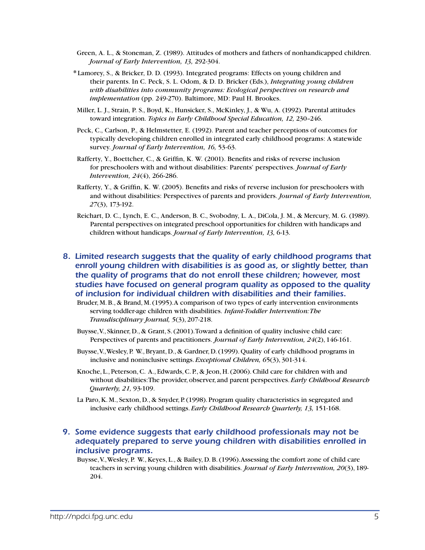- Green, A. L., & Stoneman, Z. (1989). Attitudes of mothers and fathers of nonhandicapped children. *Journal of Early Intervention, 13,* 292-304.
- \* Lamorey, S., & Bricker, D. D. (1993). Integrated programs: Effects on young children and their parents. In C. Peck, S. L. Odom, & D. D. Bricker (Eds.), *Integrating young children with disabilities into community programs: Ecological perspectives on research and implementation* (pp. 249-270). Baltimore, MD: Paul H. Brookes.
- Miller, L. J., Strain, P. S., Boyd, K., Hunsicker, S., McKinley, J., & Wu, A. (1992). Parental attitudes toward integration. *Topics in Early Childhood Special Education, 12,* 230–246.
- Peck, C., Carlson, P., & Helmstetter, E. (1992). Parent and teacher perceptions of outcomes for typically developing children enrolled in integrated early childhood programs: A statewide survey. *Journal of Early Intervention, 16,* 53-63.
- Rafferty, Y., Boettcher, C., & Griffin, K. W. (2001). Benefits and risks of reverse inclusion for preschoolers with and without disabilities: Parents' perspectives. *Journal of Early Intervention, 24*(4), 266-286.
- Rafferty, Y., & Griffin, K. W. (2005). Benefits and risks of reverse inclusion for preschoolers with and without disabilities: Perspectives of parents and providers. *Journal of Early Intervention, 27*(3), 173-192.
- Reichart, D. C., Lynch, E. C., Anderson, B. C., Svobodny, L. A., DiCola, J. M., & Mercury, M. G. (1989). Parental perspectives on integrated preschool opportunities for children with handicaps and children without handicaps. *Journal of Early Intervention, 13,* 6-13.

# *8. Limited research suggests that the quality of early childhood programs that enroll young children with disabilities is as good as, or slightly better, than the quality of programs that do not enroll these children; however, most studies have focused on general program quality as opposed to the quality of inclusion for individual children with disabilities and their families.*

- Bruder, M. B., & Brand, M. (1995). A comparison of two types of early intervention environments serving toddler-age children with disabilities. *Infant-Toddler Intervention: The Transdisciplinary Journal, 5*(3), 207-218.
- Buysse, V., Skinner, D., & Grant, S. (2001). Toward a definition of quality inclusive child care: Perspectives of parents and practitioners. *Journal of Early Intervention, 24*(2), 146-161.
- Buysse, V., Wesley, P. W., Bryant, D., & Gardner, D. (1999). Quality of early childhood programs in inclusive and noninclusive settings. *Exceptional Children, 6*5(3), 301-314.
- Knoche, L., Peterson, C. A., Edwards, C. P., & Jeon, H. (2006). Child care for children with and without disabilities: The provider, observer, and parent perspectives. *Early Childhood Research Quarterly, 21,* 93-109.
- La Paro, K. M., Sexton, D., & Snyder, P. (1998). Program quality characteristics in segregated and inclusive early childhood settings. *Early Childhood Research Quarterly, 13,* 151-168.

# *9. Some evidence suggests that early childhood professionals may not be adequately prepared to serve young children with disabilities enrolled in inclusive programs.*

Buysse, V., Wesley, P. W., Keyes, L., & Bailey, D. B. (1996). Assessing the comfort zone of child care teachers in serving young children with disabilities. *Journal of Early Intervention, 20*(3), 189- 204.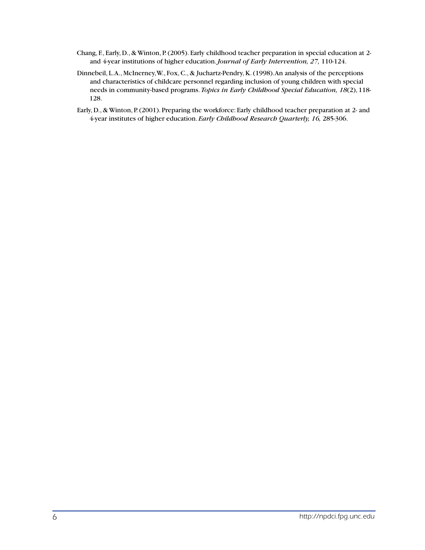- Chang, F., Early, D., & Winton, P. (2005). Early childhood teacher preparation in special education at 2 and 4-year institutions of higher education. *Journal of Early Intervention, 27,* 110-124.
- Dinnebeil, L. A., McInerney, W., Fox, C., & Juchartz-Pendry, K. (1998). An analysis of the perceptions and characteristics of childcare personnel regarding inclusion of young children with special needs in community-based programs. *Topics in Early Childhood Special Education, 18*(2), 118- 128.
- Early, D., & Winton, P. (2001). Preparing the workforce: Early childhood teacher preparation at 2- and 4-year institutes of higher education. *Early Childhood Research Quarterly, 16,* 285-306.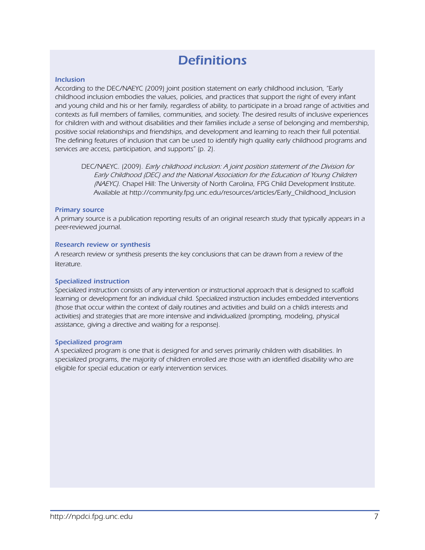# *Definitions*

#### *Inclusion*

*According to the DEC/NAEYC (2009) joint position statement on early childhood inclusion, "Early childhood inclusion embodies the values, policies, and practices that support the right of every infant and young child and his or her family, regardless of ability, to participate in a broad range of activities and contexts as full members of families, communities, and society. The desired results of inclusive experiences*  for children with and without disabilities and their families include a sense of belonging and membership, *positive social relationships and friendships, and development and learning to reach their full potential. The defining features of inclusion that can be used to identify high quality early childhood programs and services are access, participation, and supports" (p. 2).*

*DEC/NAEYC. (2009). Early childhood inclusion: A joint position statement of the Division for Early Childhood (DEC) and the National Association for the Education of Young Children (NAEYC). Chapel Hill: The University of North Carolina, FPG Child Development Institute. Available at http://community.fpg.unc.edu/resources/articles/Early\_Childhood\_Inclusion*

#### *Primary source*

*A primary source is a publication reporting results of an original research study that typically appears in a peer-reviewed journal.*

#### *Research review or synthesis*

*A research review or synthesis presents the key conclusions that can be drawn from a review of the literature.*

#### *Specialized instruction*

*Specialized instruction consists of any intervention or instructional approach that is designed to scaffold learning or development for an individual child. Specialized instruction includes embedded interventions (those that occur within the context of daily routines and activities and build on a child's interests and activities) and strategies that are more intensive and individualized (prompting, modeling, physical assistance, giving a directive and waiting for a response).*

#### *Specialized program*

*A specialized program is one that is designed for and serves primarily children with disabilities. In specialized programs, the majority of children enrolled are those with an identified disability who are eligible for special education or early intervention services.*